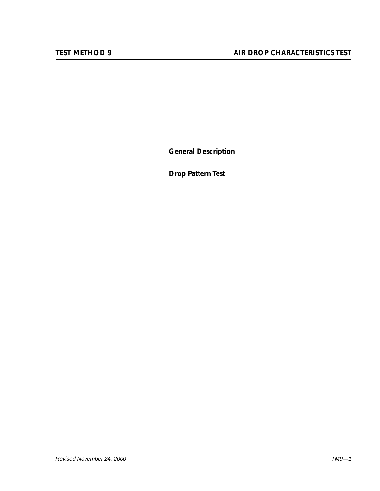**General Description**

**Drop Pattern Test**